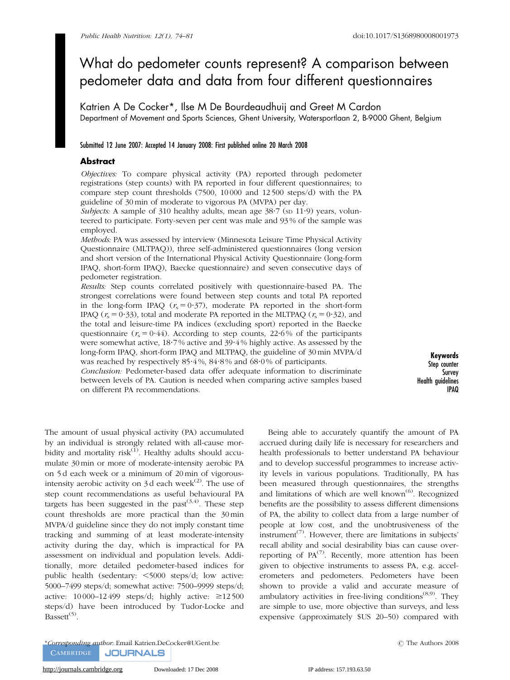# What do pedometer counts represent? A comparison between pedometer data and data from four different questionnaires

Katrien A De Cocker\*, Ilse M De Bourdeaudhuij and Greet M Cardon Department of Movement and Sports Sciences, Ghent University, Watersportlaan 2, B-9000 Ghent, Belgium

## Submitted 12 June 2007: Accepted 14 January 2008: First published online 20 March 2008

## **Abstract**

Objectives: To compare physical activity (PA) reported through pedometer registrations (step counts) with PA reported in four different questionnaires; to compare step count thresholds (7500, 10 000 and 12 500 steps/d) with the PA guideline of 30 min of moderate to vigorous PA (MVPA) per day.

Subjects: A sample of 310 healthy adults, mean age 38.7 (sp 11.9) years, volunteered to participate. Forty-seven per cent was male and 93 % of the sample was employed.

Methods: PA was assessed by interview (Minnesota Leisure Time Physical Activity Questionnaire (MLTPAQ)), three self-administered questionnaires (long version and short version of the International Physical Activity Questionnaire (long-form IPAQ, short-form IPAQ), Baecke questionnaire) and seven consecutive days of pedometer registration.

Results: Step counts correlated positively with questionnaire-based PA. The strongest correlations were found between step counts and total PA reported in the long-form IPAQ  $(r_s = 0.37)$ , moderate PA reported in the short-form IPAQ ( $r_s = 0.33$ ), total and moderate PA reported in the MLTPAQ ( $r_s = 0.32$ ), and the total and leisure-time PA indices (excluding sport) reported in the Baecke questionnaire ( $r_s = 0.44$ ). According to step counts, 22.6% of the participants were somewhat active, 18?7 % active and 39?4 % highly active. As assessed by the long-form IPAQ, short-form IPAQ and MLTPAQ, the guideline of 30 min MVPA/d was reached by respectively 85.4%, 84.8% and 68.0% of participants.

Conclusion: Pedometer-based data offer adequate information to discriminate between levels of PA. Caution is needed when comparing active samples based on different PA recommendations.

Keywords Step counter Survey Health guidelines IPAQ

The amount of usual physical activity (PA) accumulated by an individual is strongly related with all-cause morbidity and mortality risk $^{(1)}$ . Healthy adults should accumulate 30 min or more of moderate-intensity aerobic PA on 5 d each week or a minimum of 20 min of vigorousintensity aerobic activity on  $3d$  each week<sup>(2)</sup>. The use of step count recommendations as useful behavioural PA targets has been suggested in the past $(3,4)$ . These step count thresholds are more practical than the 30 min MVPA/d guideline since they do not imply constant time tracking and summing of at least moderate-intensity activity during the day, which is impractical for PA assessment on individual and population levels. Additionally, more detailed pedometer-based indices for public health (sedentary:  $\leq$ 5000 steps/d; low active: 5000–7499 steps/d; somewhat active: 7500–9999 steps/d; active:  $10\,000-12\,499$  steps/d; highly active:  $\geq 12\,500$ steps/d) have been introduced by Tudor-Locke and Bassett<sup>(5)</sup>.

Being able to accurately quantify the amount of PA accrued during daily life is necessary for researchers and health professionals to better understand PA behaviour and to develop successful programmes to increase activity levels in various populations. Traditionally, PA has been measured through questionnaires, the strengths and limitations of which are well known<sup> $(6)$ </sup>. Recognized benefits are the possibility to assess different dimensions of PA, the ability to collect data from a large number of people at low cost, and the unobtrusiveness of the instrument<sup> $(7)$ </sup>. However, there are limitations in subjects' recall ability and social desirability bias can cause overreporting of  $PA^{(7)}$ . Recently, more attention has been given to objective instruments to assess PA, e.g. accelerometers and pedometers. Pedometers have been shown to provide a valid and accurate measure of ambulatory activities in free-living conditions<sup> $(8,9)$ </sup>. They are simple to use, more objective than surveys, and less expensive (approximately \$US 20–50) compared with

\*Corresponding author: Email Katrien.DeCocker@UGent.be *r* The Authors 2008**CAMBRIDGE JOURNALS**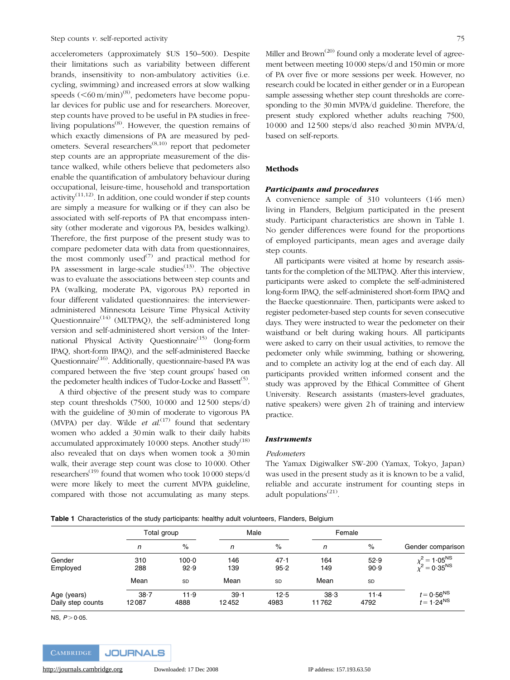accelerometers (approximately \$US 150–500). Despite their limitations such as variability between different brands, insensitivity to non-ambulatory activities (i.e. cycling, swimming) and increased errors at slow walking speeds  $(<\!60 \text{ m/min})^{(8)}$ , pedometers have become popular devices for public use and for researchers. Moreover, step counts have proved to be useful in PA studies in freeliving populations $^{(8)}$ . However, the question remains of which exactly dimensions of PA are measured by pedometers. Several researchers(8,10) report that pedometer step counts are an appropriate measurement of the distance walked, while others believe that pedometers also enable the quantification of ambulatory behaviour during occupational, leisure-time, household and transportation activity<sup> $(11,12)$ </sup>. In addition, one could wonder if step counts are simply a measure for walking or if they can also be associated with self-reports of PA that encompass intensity (other moderate and vigorous PA, besides walking). Therefore, the first purpose of the present study was to compare pedometer data with data from questionnaires, the most commonly used<sup>(7)</sup> and practical method for PA assessment in large-scale studies $(13)$ . The objective was to evaluate the associations between step counts and PA (walking, moderate PA, vigorous PA) reported in four different validated questionnaires: the intervieweradministered Minnesota Leisure Time Physical Activity Questionnaire<sup> $(14)$ </sup> (MLTPAQ), the self-administered long version and self-administered short version of the International Physical Activity Questionnaire<sup>(15)</sup> (long-form IPAQ, short-form IPAQ), and the self-administered Baecke Questionnaire<sup>(16)</sup>. Additionally, questionnaire-based PA was compared between the five 'step count groups' based on the pedometer health indices of Tudor-Locke and Bassett<sup>(5)</sup>.

A third objective of the present study was to compare step count thresholds (7500, 10000 and 12500 steps/d) with the guideline of 30min of moderate to vigorous PA (MVPA) per day. Wilde et  $al^{(17)}$  found that sedentary women who added a 30min walk to their daily habits accumulated approximately 10000 steps. Another study<sup>(18)</sup> also revealed that on days when women took a 30min walk, their average step count was close to 10000. Other researchers<sup>(19)</sup> found that women who took 10000 steps/d were more likely to meet the current MVPA guideline, compared with those not accumulating as many steps.

Miller and Brown<sup> $(20)$ </sup> found only a moderate level of agreement between meeting 10000 steps/d and 150min or more of PA over five or more sessions per week. However, no research could be located in either gender or in a European sample assessing whether step count thresholds are corresponding to the 30min MVPA/d guideline. Therefore, the present study explored whether adults reaching 7500, 10000 and 12500 steps/d also reached 30min MVPA/d, based on self-reports.

# Methods

#### Participants and procedures

A convenience sample of 310 volunteers (146 men) living in Flanders, Belgium participated in the present study. Participant characteristics are shown in Table 1. No gender differences were found for the proportions of employed participants, mean ages and average daily step counts.

All participants were visited at home by research assistants for the completion of the MLTPAQ. After this interview, participants were asked to complete the self-administered long-form IPAQ, the self-administered short-form IPAQ and the Baecke questionnaire. Then, participants were asked to register pedometer-based step counts for seven consecutive days. They were instructed to wear the pedometer on their waistband or belt during waking hours. All participants were asked to carry on their usual activities, to remove the pedometer only while swimming, bathing or showering, and to complete an activity log at the end of each day. All participants provided written informed consent and the study was approved by the Ethical Committee of Ghent University. Research assistants (masters-level graduates, native speakers) were given 2h of training and interview practice.

## **Instruments**

#### Pedometers

The Yamax Digiwalker SW-200 (Yamax, Tokyo, Japan) was used in the present study as it is known to be a valid, reliable and accurate instrument for counting steps in adult populations<sup> $(21)$ </sup>.

|  | Table 1 Characteristics of the study participants: healthy adult volunteers, Flanders, Belgium |  |  |  |  |  |  |
|--|------------------------------------------------------------------------------------------------|--|--|--|--|--|--|
|--|------------------------------------------------------------------------------------------------|--|--|--|--|--|--|

|                                  | . .               |                   |               |              |               |                  |                                              |  |
|----------------------------------|-------------------|-------------------|---------------|--------------|---------------|------------------|----------------------------------------------|--|
|                                  | Total group       |                   | Male          |              | Female        |                  |                                              |  |
|                                  | n                 | %                 | n             | $\%$         | n             | $\%$             | Gender comparison                            |  |
| Gender<br>Employed               | 310<br>288        | $100 - 0$<br>92.9 | 146<br>139    | 47.1<br>95.2 | 164<br>149    | 52.9<br>90.9     | $\chi^2 = 1.05^{NS}$<br>$\chi^2 = 0.35^{NS}$ |  |
|                                  | Mean              | <b>SD</b>         | Mean          | <b>SD</b>    | Mean          | SD               |                                              |  |
| Age (years)<br>Daily step counts | $38 - 7$<br>12087 | 11.9<br>4888      | 39.1<br>12452 | 12.5<br>4983 | 38.3<br>11762 | $11 - 4$<br>4792 | $t = 0.56^{NS}$<br>$t = 1.24^{NS}$           |  |

NS,  $P > 0.05$ .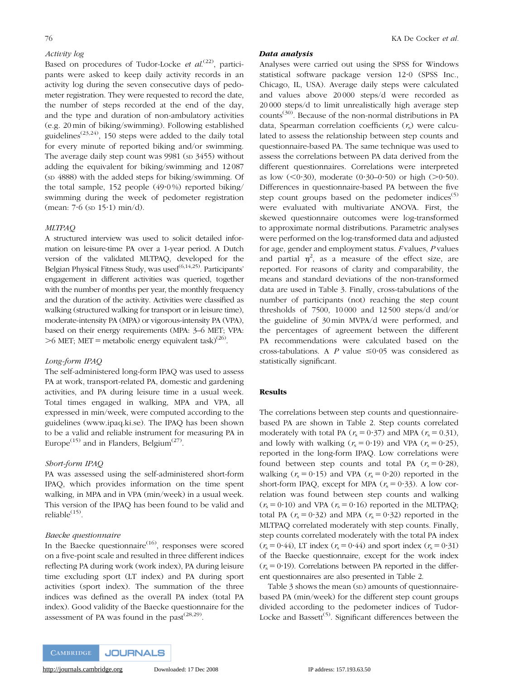## Activity log

Based on procedures of Tudor-Locke et al.<sup>(22)</sup>, participants were asked to keep daily activity records in an activity log during the seven consecutive days of pedometer registration. They were requested to record the date, the number of steps recorded at the end of the day, and the type and duration of non-ambulatory activities (e.g. 20 min of biking/swimming). Following established guidelines<sup> $(23,24)$ </sup>, 150 steps were added to the daily total for every minute of reported biking and/or swimming. The average daily step count was  $9981$  (sp  $3455$ ) without adding the equivalent for biking/swimming and 12 087 (SD 4888) with the added steps for biking/swimming. Of the total sample, 152 people  $(49.0\%)$  reported biking/ swimming during the week of pedometer registration (mean:  $7.6$  (sp  $15.1$ ) min/d).

## MLTPAQ

A structured interview was used to solicit detailed information on leisure-time PA over a 1-year period. A Dutch version of the validated MLTPAQ, developed for the Belgian Physical Fitness Study, was used<sup>(6,14,25)</sup>. Participants' engagement in different activities was queried, together with the number of months per year, the monthly frequency and the duration of the activity. Activities were classified as walking (structured walking for transport or in leisure time), moderate-intensity PA (MPA) or vigorous-intensity PA (VPA), based on their energy requirements (MPA: 3–6 MET; VPA:  $>6$  MET; MET = metabolic energy equivalent task)<sup>(26)</sup>.

#### Long-form IPAQ

The self-administered long-form IPAQ was used to assess PA at work, transport-related PA, domestic and gardening activities, and PA during leisure time in a usual week. Total times engaged in walking, MPA and VPA, all expressed in min/week, were computed according to the guidelines (www.ipaq.ki.se). The IPAQ has been shown to be a valid and reliable instrument for measuring PA in Europe<sup>(15)</sup> and in Flanders, Belgium<sup>(27)</sup>.

#### Short-form IPAQ

PA was assessed using the self-administered short-form IPAQ, which provides information on the time spent walking, in MPA and in VPA (min/week) in a usual week. This version of the IPAQ has been found to be valid and reliable<sup>(15)</sup>.

## Baecke questionnaire

In the Baecke questionnaire<sup> $(16)$ </sup>, responses were scored on a five-point scale and resulted in three different indices reflecting PA during work (work index), PA during leisure time excluding sport (LT index) and PA during sport activities (sport index). The summation of the three indices was defined as the overall PA index (total PA index). Good validity of the Baecke questionnaire for the assessment of PA was found in the past $^{(28,29)}$ .

#### Data analysis

Analyses were carried out using the SPSS for Windows statistical software package version 12?0 (SPSS Inc., Chicago, IL, USA). Average daily steps were calculated and values above 20 000 steps/d were recorded as 20 000 steps/d to limit unrealistically high average step counts(30). Because of the non-normal distributions in PA data, Spearman correlation coefficients  $(r<sub>s</sub>)$  were calculated to assess the relationship between step counts and questionnaire-based PA. The same technique was used to assess the correlations between PA data derived from the different questionnaires. Correlations were interpreted as low  $(<0.30)$ , moderate  $(0.30-0.50)$  or high  $(>0.50)$ . Differences in questionnaire-based PA between the five step count groups based on the pedometer indices $(5)$ were evaluated with multivariate ANOVA. First, the skewed questionnaire outcomes were log-transformed to approximate normal distributions. Parametric analyses were performed on the log-transformed data and adjusted for age, gender and employment status. F values, P values and partial  $\eta^2$ , as a measure of the effect size, are reported. For reasons of clarity and comparability, the means and standard deviations of the non-transformed data are used in Table 3. Finally, cross-tabulations of the number of participants (not) reaching the step count thresholds of 7500, 10 000 and 12 500 steps/d and/or the guideline of 30 min MVPA/d were performed, and the percentages of agreement between the different PA recommendations were calculated based on the cross-tabulations. A P value  $\leq 0.05$  was considered as statistically significant.

## Results

The correlations between step counts and questionnairebased PA are shown in Table 2. Step counts correlated moderately with total PA ( $r_s = 0.37$ ) and MPA ( $r_s = 0.31$ ), and lowly with walking  $(r_s = 0.19)$  and VPA  $(r_s = 0.25)$ , reported in the long-form IPAQ. Low correlations were found between step counts and total PA  $(r_s = 0.28)$ , walking  $(r_s = 0.15)$  and VPA  $(r_s = 0.20)$  reported in the short-form IPAQ, except for MPA ( $r_s = 0.33$ ). A low correlation was found between step counts and walking  $(r<sub>s</sub> = 0.10)$  and VPA  $(r<sub>s</sub> = 0.16)$  reported in the MLTPAQ; total PA ( $r_s = 0.32$ ) and MPA ( $r_s = 0.32$ ) reported in the MLTPAQ correlated moderately with step counts. Finally, step counts correlated moderately with the total PA index  $(r_s = 0.44)$ , LT index  $(r_s = 0.44)$  and sport index  $(r_s = 0.31)$ of the Baecke questionnaire, except for the work index  $(r<sub>s</sub>=0.19)$ . Correlations between PA reported in the different questionnaires are also presented in Table 2.

Table 3 shows the mean (sp) amounts of questionnairebased PA (min/week) for the different step count groups divided according to the pedometer indices of Tudor-Locke and Bassett<sup> $(5)$ </sup>. Significant differences between the

<http://journals.cambridge.org> Downloaded: 17 Dec 2008 IP address: 157.193.63.50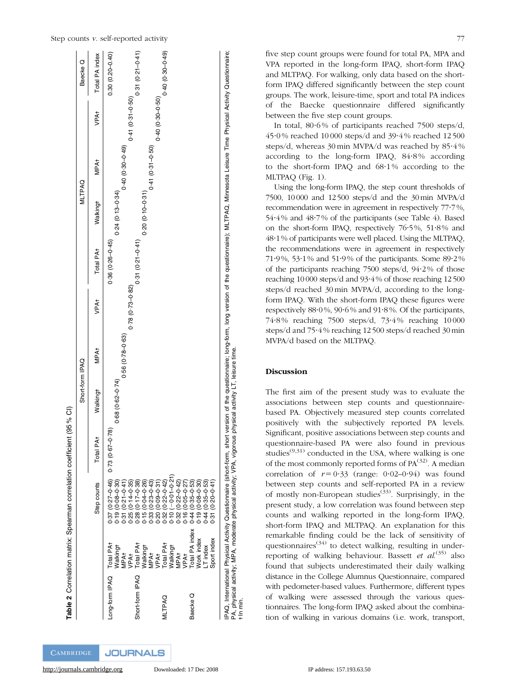

five step count groups were found for total PA, MPA and VPA reported in the long-form IPAQ, short-form IPAQ and MLTPAQ. For walking, only data based on the shortform IPAQ differed significantly between the step count groups. The work, leisure-time, sport and total PA indices of the Baecke questionnaire differed significantly between the five step count groups.

In total, 80.6% of participants reached 7500 steps/d, 45?0 % reached 10 000 steps/d and 39?4 % reached 12 500 steps/d, whereas 30 min MVPA/d was reached by  $85.4\%$ according to the long-form IPAQ,  $84.8\%$  according to the short-form IPAQ and  $68.1\%$  according to the MLTPAQ (Fig. 1).

Using the long-form IPAQ, the step count thresholds of 7500, 10000 and 12500 steps/d and the 30min MVPA/d recommendation were in agreement in respectively 77?7%, 54?4% and 48?7% of the participants (see Table 4). Based on the short-form IPAO, respectively  $76.5\%$ ,  $51.8\%$  and 48?1% of participants were well placed. Using the MLTPAQ, the recommendations were in agreement in respectively 71.9%, 53.1% and 51.9% of the participants. Some  $89.2\%$ of the participants reaching 7500 steps/d, 94?2% of those reaching 10000 steps/d and 93?4% of those reaching 12500 steps/d reached 30 min MVPA/d, according to the longform IPAQ. With the short-form IPAQ these figures were respectively  $88.0\%$ ,  $90.6\%$  and  $91.8\%$ . Of the participants, 74?8% reaching 7500 steps/d, 73?4% reaching 10000 steps/d and 75°4% reaching 12500 steps/d reached 30 min MVPA/d based on the MLTPAQ.

# Discussion

The first aim of the present study was to evaluate the associations between step counts and questionnairebased PA. Objectively measured step counts correlated positively with the subjectively reported PA levels. Significant, positive associations between step counts and questionnaire-based PA were also found in previous studies<sup> $(9,31)$ </sup> conducted in the USA, where walking is one of the most commonly reported forms of  $PA^{(32)}$ . A median correlation of  $r = 0.33$  (range: 0.02–0.94) was found between step counts and self-reported PA in a review of mostly non-European studies<sup> $(33)$ </sup>. Surprisingly, in the present study, a low correlation was found between step counts and walking reported in the long-form IPAQ, short-form IPAQ and MLTPAQ. An explanation for this remarkable finding could be the lack of sensitivity of questionnaires<sup> $(34)$ </sup> to detect walking, resulting in underreporting of walking behaviour. Bassett et al.<sup>(35)</sup> also found that subjects underestimated their daily walking distance in the College Alumnus Questionnaire, compared with pedometer-based values. Furthermore, different types of walking were assessed through the various questionnaires. The long-form IPAQ asked about the combination of walking in various domains (i.e. work, transport,

- In min.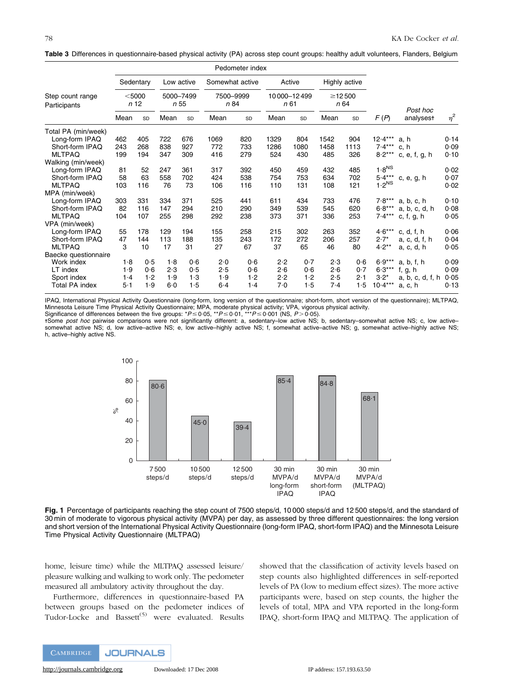|  |  |  |  | Table 3 Differences in questionnaire-based physical activity (PA) across step count groups: healthy adult volunteers, Flanders, Belgium |  |
|--|--|--|--|-----------------------------------------------------------------------------------------------------------------------------------------|--|
|--|--|--|--|-----------------------------------------------------------------------------------------------------------------------------------------|--|

|                                  | Pedometer index  |           |                   |            |                   |           |                    |        |                      |               |                   |                          |          |
|----------------------------------|------------------|-----------|-------------------|------------|-------------------|-----------|--------------------|--------|----------------------|---------------|-------------------|--------------------------|----------|
|                                  |                  | Sedentary |                   | Low active | Somewhat active   |           |                    | Active |                      | Highly active |                   |                          |          |
| Step count range<br>Participants | $<$ 5000<br>n 12 |           | 5000-7499<br>n 55 |            | 7500-9999<br>n 84 |           | 10000-12499<br>n61 |        | $\geq$ 12500<br>n 64 |               |                   | Post hoc                 |          |
|                                  | Mean             | SD        | Mean              | SD         | Mean              | <b>SD</b> | Mean               | SD     | Mean                 | SD            | F(P)              | analysest                | $\eta^2$ |
| Total PA (min/week)              |                  |           |                   |            |                   |           |                    |        |                      |               |                   |                          |          |
| Long-form IPAQ                   | 462              | 405       | 722               | 676        | 1069              | 820       | 1329               | 804    | 1542                 | 904           | $12.4***$         | a, h                     | 0.14     |
| Short-form IPAQ                  | 243              | 268       | 838               | 927        | 772               | 733       | 1286               | 1080   | 1458                 | 1113          | $7.4***$          | c, h                     | 0.09     |
| <b>MLTPAQ</b>                    | 199              | 194       | 347               | 309        | 416               | 279       | 524                | 430    | 485                  | 326           | $8.2***$          | c, $e$ , $f$ , $g$ , $h$ | 0.10     |
| Walking (min/week)               |                  |           |                   |            |                   |           |                    |        |                      |               |                   |                          |          |
| Long-form IPAQ                   | 81               | 52        | 247               | 361        | 317               | 392       | 450                | 459    | 432                  | 485           | 1.8 <sup>NS</sup> |                          | 0.02     |
| Short-form IPAQ                  | 58               | 63        | 558               | 702        | 424               | 538       | 754                | 753    | 634                  | 702           | $5.4***$          | c, e, g, h               | 0.07     |
| <b>MLTPAQ</b>                    | 103              | 116       | 76                | 73         | 106               | 116       | 110                | 131    | 108                  | 121           | 1.2 <sup>NS</sup> |                          | 0.02     |
| MPA (min/week)                   |                  |           |                   |            |                   |           |                    |        |                      |               |                   |                          |          |
| Long-form IPAQ                   | 303              | 331       | 334               | 371        | 525               | 441       | 611                | 434    | 733                  | 476           | $7.8***$          | a, b, c, h               | 0.10     |
| Short-form IPAQ                  | 82               | 116       | 147               | 294        | 210               | 290       | 349                | 539    | 545                  | 620           | $6.8***$          | a, b, c, d, h            | 0.08     |
| <b>MLTPAQ</b>                    | 104              | 107       | 255               | 298        | 292               | 238       | 373                | 371    | 336                  | 253           | $7.4***$          | c, f, g, h               | 0.05     |
| VPA (min/week)                   |                  |           |                   |            |                   |           |                    |        |                      |               |                   |                          |          |
| Long-form IPAQ                   | 55               | 178       | 129               | 194        | 155               | 258       | 215                | 302    | 263                  | 352           | $4.6***$          | c, d, f, h               | 0.06     |
| Short-form IPAQ                  | 47               | 144       | 113               | 188        | 135               | 243       | 172                | 272    | 206                  | 257           | $2.7*$            | a, c, d, f, h            | 0.04     |
| <b>MLTPAQ</b>                    | 3                | 10        | 17                | 31         | 27                | 67        | 37                 | 65     | 46                   | 80            | $4.2**$           | a, c, d, h               | 0.05     |
| Baecke questionnaire             |                  |           |                   |            |                   |           |                    |        |                      |               |                   |                          |          |
| Work index                       | 1.8              | 0.5       | 1.8               | 0.6        | 2.0               | 0.6       | 2.2                | 0.7    | 2.3                  | 0.6           | $6.9***$          | a, b, f, h               | 0.09     |
| LT index                         | 1.9              | 0.6       | 2.3               | 0.5        | 2.5               | 0.6       | 2.6                | 0.6    | 2.6                  | 0.7           | $6.3***$          | f, g, h                  | 0.09     |
| Sport index                      | 1.4              | 1.2       | 1.9               | 1.3        | 1.9               | 1.2       | 2.2                | 1.2    | 2.5                  | 2.1           | $3.2*$            | a, b, c, d, f, h         | 0.05     |
| <b>Total PA index</b>            | $5-1$            | 1.9       | 6.0               | 1.5        | $6-4$             | $1-4$     | 7.0                | 1.5    | 7.4                  | 1.5           | $10.4***$         | a, c, h                  | 0.13     |

IPAQ, International Physical Activity Questionnaire (long-form, long version of the questionnaire; short-form, short version of the questionnaire); MLTPAQ, Minnesota Leisure Time Physical Activity Questionnaire; MPA, moderate physical activity; VPA, vigorous physical activity.<br>Significance of differences between the five groups: \*P≤0·05, \*\*P≤0·01, \*\*\*P≤0·001 (NS, *P*>0·05).

+Some post hoc pairwise comparisons were not significantly different: a, sedentary–low active NS; b, sedentary–somewhat active NS; c, low active– somewhat active NS; d, low active–active NS; e, low active–highly active NS; f, somewhat active–active NS; g, somewhat active–highly active NS; h, active–highly active NS.



Fig. 1 Percentage of participants reaching the step count of 7500 steps/d, 10000 steps/d and 12 500 steps/d, and the standard of 30 min of moderate to vigorous physical activity (MVPA) per day, as assessed by three different questionnaires: the long version and short version of the International Physical Activity Questionnaire (long-form IPAQ, short-form IPAQ) and the Minnesota Leisure Time Physical Activity Questionnaire (MLTPAQ)

home, leisure time) while the MLTPAQ assessed leisure/ pleasure walking and walking to work only. The pedometer measured all ambulatory activity throughout the day.

Furthermore, differences in questionnaire-based PA between groups based on the pedometer indices of Tudor-Locke and Bassett<sup>(5)</sup> were evaluated. Results

showed that the classification of activity levels based on step counts also highlighted differences in self-reported levels of PA (low to medium effect sizes). The more active participants were, based on step counts, the higher the levels of total, MPA and VPA reported in the long-form IPAQ, short-form IPAQ and MLTPAQ. The application of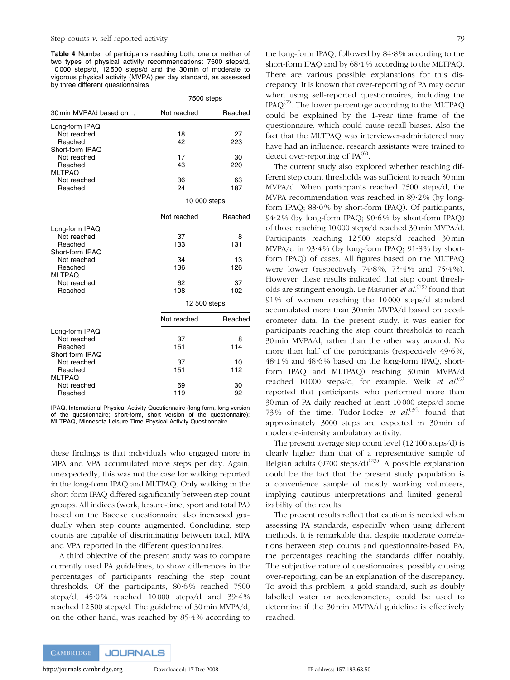Table 4 Number of participants reaching both, one or neither of two types of physical activity recommendations: 7500 steps/d, 10 000 steps/d, 12 500 steps/d and the 30 min of moderate to vigorous physical activity (MVPA) per day standard, as assessed by three different questionnaires

|                                                             | 7500 steps   |           |  |  |  |
|-------------------------------------------------------------|--------------|-----------|--|--|--|
| 30 min MVPA/d based on                                      | Not reached  | Reached   |  |  |  |
| Long-form IPAQ<br>Not reached<br>Reached                    | 18<br>42     | 27<br>223 |  |  |  |
| Short-form IPAQ<br>Not reached<br>Reached<br><b>MLTPAQ</b>  | 17<br>43     | 30<br>220 |  |  |  |
| Not reached<br>Reached                                      | 36<br>24     | 63<br>187 |  |  |  |
|                                                             | 10 000 steps |           |  |  |  |
|                                                             | Not reached  | Reached   |  |  |  |
| Long-form IPAQ<br>Not reached<br>Reached<br>Short-form IPAQ | 37<br>133    | 8<br>131  |  |  |  |
| Not reached<br>Reached<br><b>MLTPAQ</b>                     | 34<br>136    | 13<br>126 |  |  |  |
| Not reached<br>Reached                                      | 62<br>108    | 37<br>102 |  |  |  |
|                                                             | 12 500 steps |           |  |  |  |
|                                                             | Not reached  | Reached   |  |  |  |
| Long-form IPAQ<br>Not reached<br>Reached<br>Short-form IPAQ | 37<br>151    | 8<br>114  |  |  |  |
| Not reached<br>Reached<br><b>MLTPAO</b>                     | 37<br>151    | 10<br>112 |  |  |  |
| Not reached<br>Reached                                      | 69<br>119    | 30<br>92  |  |  |  |

IPAQ, International Physical Activity Questionnaire (long-form, long version of the questionnaire; short-form, short version of the questionnaire); MLTPAQ, Minnesota Leisure Time Physical Activity Questionnaire.

these findings is that individuals who engaged more in MPA and VPA accumulated more steps per day. Again, unexpectedly, this was not the case for walking reported in the long-form IPAQ and MLTPAQ. Only walking in the short-form IPAQ differed significantly between step count groups. All indices (work, leisure-time, sport and total PA) based on the Baecke questionnaire also increased gradually when step counts augmented. Concluding, step counts are capable of discriminating between total, MPA and VPA reported in the different questionnaires.

A third objective of the present study was to compare currently used PA guidelines, to show differences in the percentages of participants reaching the step count thresholds. Of the participants,  $80.6\%$  reached 7500 steps/d, 45.0% reached 10000 steps/d and 39.4% reached 12 500 steps/d. The guideline of 30 min MVPA/d, on the other hand, was reached by 85?4 % according to the long-form IPAQ, followed by 84?8 % according to the short-form IPAQ and by 68?1 % according to the MLTPAQ. There are various possible explanations for this discrepancy. It is known that over-reporting of PA may occur when using self-reported questionnaires, including the  $IPAQ^{(7)}$ . The lower percentage according to the MLTPAQ could be explained by the 1-year time frame of the questionnaire, which could cause recall biases. Also the fact that the MLTPAQ was interviewer-administered may have had an influence: research assistants were trained to detect over-reporting of  $PA^{(6)}$ .

The current study also explored whether reaching different step count thresholds was sufficient to reach 30 min MVPA/d. When participants reached 7500 steps/d, the MVPA recommendation was reached in 89.2% (by longform IPAQ;  $88.0\%$  by short-form IPAQ). Of participants, 94?2 % (by long-form IPAQ; 90?6 % by short-form IPAQ) of those reaching 10 000 steps/d reached 30 min MVPA/d. Participants reaching 12 500 steps/d reached 30 min MVPA/d in  $93.4\%$  (by long-form IPAQ;  $91.8\%$  by shortform IPAQ) of cases. All figures based on the MLTPAQ were lower (respectively  $74.8\%$ ,  $73.4\%$  and  $75.4\%$ ). However, these results indicated that step count thresholds are stringent enough. Le Masurier et al.<sup>(19)</sup> found that 91 % of women reaching the 10 000 steps/d standard accumulated more than 30 min MVPA/d based on accelerometer data. In the present study, it was easier for participants reaching the step count thresholds to reach 30 min MVPA/d, rather than the other way around. No more than half of the participants (respectively  $49.6\%$ , 48?1 % and 48?6 % based on the long-form IPAQ, shortform IPAQ and MLTPAQ) reaching 30 min MVPA/d reached 10000 steps/d, for example. Welk *et al.*<sup>(9)</sup> reported that participants who performed more than 30 min of PA daily reached at least 10 000 steps/d some 73% of the time. Tudor-Locke *et al*.<sup>(36)</sup> found that approximately 3000 steps are expected in 30 min of moderate-intensity ambulatory activity.

The present average step count level (12 100 steps/d) is clearly higher than that of a representative sample of Belgian adults (9700 steps/d)<sup>(23)</sup>. A possible explanation could be the fact that the present study population is a convenience sample of mostly working volunteers, implying cautious interpretations and limited generalizability of the results.

The present results reflect that caution is needed when assessing PA standards, especially when using different methods. It is remarkable that despite moderate correlations between step counts and questionnaire-based PA, the percentages reaching the standards differ notably. The subjective nature of questionnaires, possibly causing over-reporting, can be an explanation of the discrepancy. To avoid this problem, a gold standard, such as doubly labelled water or accelerometers, could be used to determine if the 30 min MVPA/d guideline is effectively reached.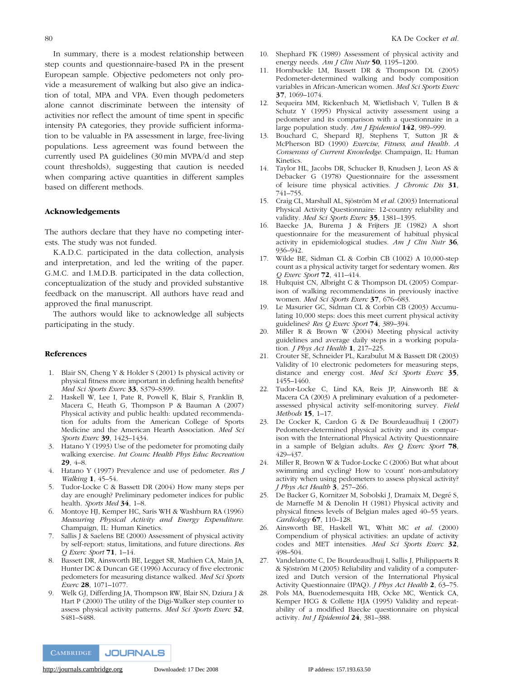In summary, there is a modest relationship between step counts and questionnaire-based PA in the present European sample. Objective pedometers not only provide a measurement of walking but also give an indication of total, MPA and VPA. Even though pedometers alone cannot discriminate between the intensity of activities nor reflect the amount of time spent in specific intensity PA categories, they provide sufficient information to be valuable in PA assessment in large, free-living populations. Less agreement was found between the currently used PA guidelines (30 min MVPA/d and step count thresholds), suggesting that caution is needed when comparing active quantities in different samples based on different methods.

#### Acknowledgements

The authors declare that they have no competing interests. The study was not funded.

K.A.D.C. participated in the data collection, analysis and interpretation, and led the writing of the paper. G.M.C. and I.M.D.B. participated in the data collection, conceptualization of the study and provided substantive feedback on the manuscript. All authors have read and approved the final manuscript.

The authors would like to acknowledge all subjects participating in the study.

#### References

- 1. Blair SN, Cheng Y & Holder S (2001) Is physical activity or physical fitness more important in defining health benefits? Med Sci Sports Exerc 33, S379-S399.
- 2. Haskell W, Lee I, Pate R, Powell K, Blair S, Franklin B, Macera C, Heath G, Thompson P & Bauman A (2007) Physical activity and public health: updated recommendation for adults from the American College of Sports Medicine and the American Hearth Association. Med Sci Sports Exerc 39, 1423–1434.
- 3. Hatano Y (1993) Use of the pedometer for promoting daily walking exercise. Int Counc Health Phys Educ Recreation 29, 4–8.
- 4. Hatano Y (1997) Prevalence and use of pedometer. Res J Walking 1, 45–54.
- 5. Tudor-Locke C & Bassett DR (2004) How many steps per day are enough? Preliminary pedometer indices for public health. Sports Med 34, 1–8.
- 6. Montoye HJ, Kemper HC, Saris WH & Washburn RA (1996) Measuring Physical Activity and Energy Expenditure. Champaign, IL: Human Kinetics.
- 7. Sallis J & Saelens BE (2000) Assessment of physical activity by self-report: status, limitations, and future directions. Res Q Exerc Sport 71, 1–14.
- 8. Bassett DR, Ainsworth BE, Legget SR, Mathien CA, Main JA, Hunter DC & Duncan GE (1996) Accuracy of five electronic pedometers for measuring distance walked. Med Sci Sports Exerc 28, 1071–1077.
- 9. Welk GJ, Differding JA, Thompson RW, Blair SN, Dziura J & Hart P (2000) The utility of the Digi-Walker step counter to assess physical activity patterns. Med Sci Sports Exerc 32, S481–S488.
- 10. Shephard FK (1989) Assessment of physical activity and energy needs. Am J Clin Nutr 50, 1195-1200.
- 11. Hornbuckle LM, Bassett DR & Thompson DL (2005) Pedometer-determined walking and body composition variables in African-American women. Med Sci Sports Exerc 37, 1069–1074.
- 12. Sequeira MM, Rickenbach M, Wietlisbach V, Tullen B & Schutz Y (1995) Physical activity assessment using a pedometer and its comparison with a questionnaire in a large population study. Am J Epidemiol 142, 989-999.
- 13. Bouchard C, Shepard RJ, Stephens T, Sutton JR & McPherson BD (1990) Exercise, Fitness, and Health. A Consensus of Current Knowledge. Champaign, IL: Human Kinetics.
- 14. Taylor HL, Jacobs DR, Schucker B, Knudsen J, Leon AS & Debacker G (1978) Questionnaire for the assessment of leisure time physical activities. J Chronic Dis 31, 741–755.
- 15. Craig CL, Marshall AL, Sjöström M et al. (2003) International Physical Activity Questionnaire: 12-country reliability and validity. Med Sci Sports Exerc 35, 1381-1395.
- 16. Baecke JA, Burema J & Frijters JE (1982) A short questionnaire for the measurement of habitual physical activity in epidemiological studies. Am  $J$  Clin Nutr  $36$ , 936–942.
- 17. Wilde BE, Sidman CL & Corbin CB (1002) A 10,000-step count as a physical activity target for sedentary women. Res Q Exerc Sport 72, 411–414.
- 18. Hultquist CN, Albright C & Thompson DL (2005) Comparison of walking recommendations in previously inactive women. Med Sci Sports Exerc 37, 676–683.
- 19. Le Masurier GC, Sidman CL & Corbin CB (2003) Accumulating 10,000 steps: does this meet current physical activity guidelines? Res Q Exerc Sport 74, 389–394.
- 20. Miller R & Brown W (2004) Meeting physical activity guidelines and average daily steps in a working population. *J Phys Act Health* 1, 217-225.
- 21. Crouter SE, Schneider PL, Karabulut M & Bassett DR (2003) Validity of 10 electronic pedometers for measuring steps, distance and energy cost. Med Sci Sports Exerc 35, 1455–1460.
- 22. Tudor-Locke C, Lind KA, Reis JP, Ainsworth BE & Macera CA (2003) A preliminary evaluation of a pedometerassessed physical activity self-monitoring survey. Field Methods 15, 1–17.
- 23. De Cocker K, Cardon G & De Bourdeaudhuij I (2007) Pedometer-determined physical activity and its comparison with the International Physical Activity Questionnaire in a sample of Belgian adults. Res Q Exerc Sport 78, 429–437.
- 24. Miller R, Brown W & Tudor-Locke C (2006) But what about swimming and cycling? How to 'count' non-ambulatory activity when using pedometers to assess physical activity?  $J$  Phys Act Health 3, 257-266.
- 25. De Backer G, Kornitzer M, Sobolski J, Dramaix M, Degré S, de Marneffe M & Denolin H (1981) Physical activity and physical fitness levels of Belgian males aged 40–55 years. Cardiology  $67$ , 110–128.
- 26. Ainsworth BE, Haskell WL, Whitt MC et al. (2000) Compendium of physical activities: an update of activity codes and MET intensities. Med Sci Sports Exerc 32, 498–504.
- 27. Vandelanotte C, De Bourdeaudhuij I, Sallis J, Philippaerts R & Sjöström M (2005) Reliability and validity of a computerized and Dutch version of the International Physical Activity Questionnaire (IPAQ). J Phys Act Health 2, 63–75.
- 28. Pols MA, Buenodemesquita HB, Ocke MC, Wentick CA, Kemper HCG & Collette HJA (1995) Validity and repeatability of a modified Baecke questionnaire on physical activity. Int J Epidemiol 24, 381–388.

**CAMBRIDGE JOURNALS**